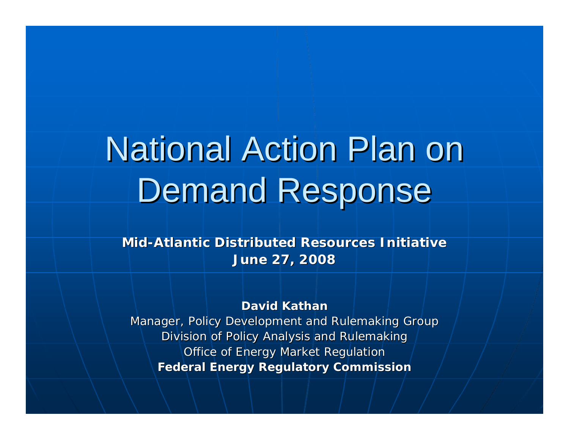# **National Action Plan on** Demand Response

**Mid-Atlantic Distributed Resources Initiative Atlantic Distributed Resources InitiativeJune 27, 2008 June 27, 2008**

#### **David Kathan David Kathan**

Manager, Policy Development and Rulemaking Group Division of Policy Analysis and Rulemaking Office of Energy Market Regulation **Federal Energy Regulatory Commission Federal Energy Regulatory Commission**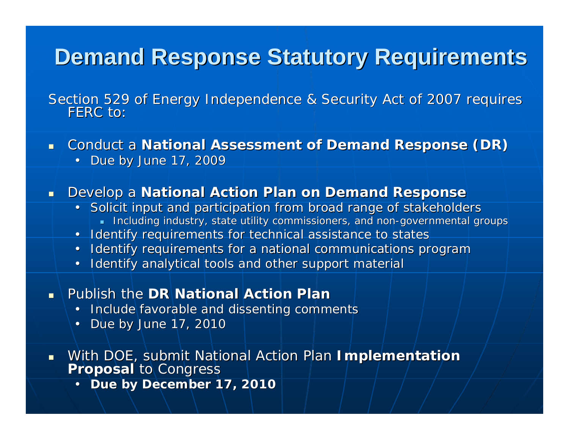#### **Demand Response Statutory Requirements**

Section 529 of Energy Independence & Security Act of 2007 requires FERC to:

 $\blacksquare$ **Conduct a National Assessment of Demand Response (DR)** 

• Due by June 17, 2009

#### $\blacksquare$ **Develop a National Action Plan on Demand Response**

- Solicit input and participation from broad range of stakeholders  $\blacksquare$  Including industry, state utility commissioners, and non-governmental groups
- Identify requirements for technical assistance to states
- Identify requirements for a national communications program
- Identify analytical tools and other support material
- $\blacksquare$ **Rublish the DR National Action Plan Plan** 
	- Include favorable and dissenting comments
	- Due by June 17, 2010
- With DOE, submit National Action Plan With DOE, submit National Action Plan **Implementation Implementation Proposal Proposal** to Congress to Congress
	- **Due by December 17, 2010**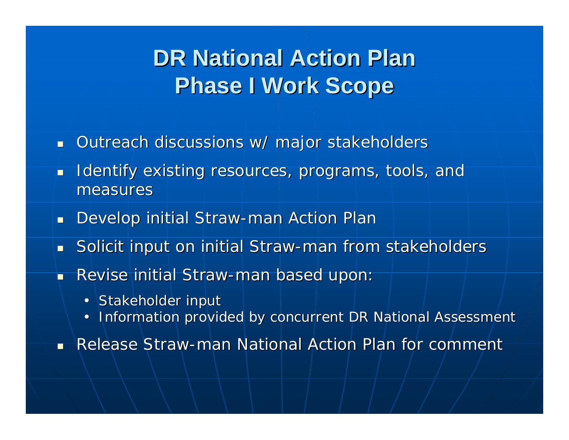### **DR National Action Plan Phase I Work Scope Phase I Work Scope**

- Outreach discussions w/ major stakeholders
- $\blacksquare$ Identify existing resources, programs, tools, and measures
- $\blacksquare$  Develop initial Straw-man Action Plar
- $\blacksquare$ Solicit input on initial Straw-man from stakeholders
- П Revise initial Straw-man based upon:
	- Stakeholder input
	- Information provided by concurrent DR National Assessment

 $\blacksquare$ Release Straw-man National Action Plan for comment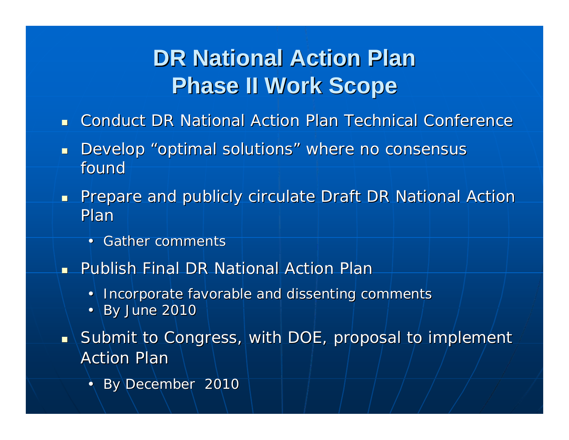### **DR National Action Plan Phase II Work Scope Phase II Work Scope**

- $\blacksquare$ **Conduct DR National Action Plan Technical Conference**
- $\blacksquare$ Develop "optimal solutions" where no consensus found
- $\blacksquare$ Prepare and publicly circulate Draft DR National Action Plan
	- Gather comments
- n. Publish Final DR National Action Plan
	- Incorporate favorable and dissenting comments
	- $By June 2010$
- $\blacksquare$  Submit to Congress, with DOE, proposal to implement  $\blacksquare$ Action Plar
	- By December 2010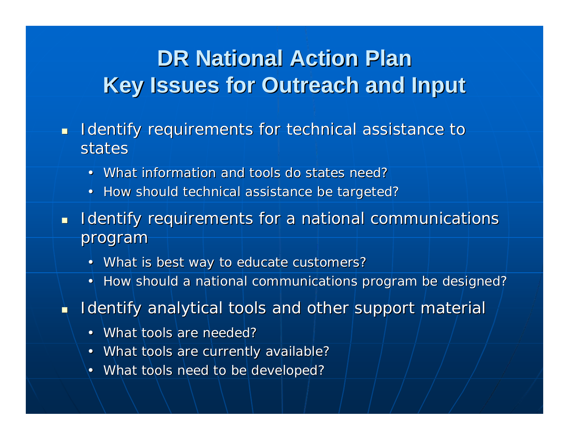#### **DR National Action Plan Key Issues for Outreach and Input Key Issues for Outreach and Input**

- $\blacksquare$ Identify requirements for technical assistance to states
	- What information and tools do states need?
	- How should technical assistance be targeted?
- $\blacksquare$ Identify requirements for a national communications program
	- What is best way to educate customers?
	- How should a national communications program be designed?
- Ù Identify analytical tools and other support material
	- What tools are needed?
	- What tools are currently available?
	- What tools need to be developed?